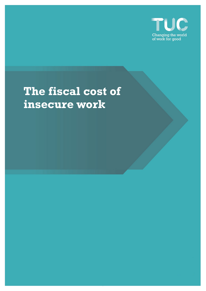

# **The fiscal cost of insecure work**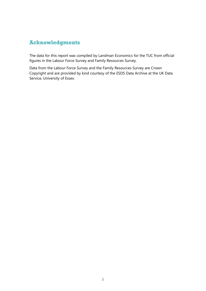# **Acknowledgments**

The data for this report was compiled by Landman Economics for the TUC from official figures in the Labour Force Survey and Family Resources Survey.

Data from the Labour Force Survey and the Family Resources Survey are Crown Copyright and are provided by kind courtesy of the ESDS Data Archive at the UK Data Service, University of Essex.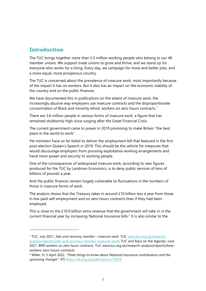## **Introduction**

The TUC brings together more than 5.5 million working people who belong to our 48 member unions. We support trade unions to grow and thrive, and we stand up for everyone who works for a living. Every day, we campaign for more and better jobs, and a more equal, more prosperous country.

The TUC is concerned about the prevalence of insecure work, most importantly because of the impact it has on workers. But it also has an impact on the economic stability of the country and on the public finances.

We have documented this in publications on the extent of insecure work, the increasingly abusive way employers use insecure contracts and the disproportionate concentration of Black and minority ethnic workers on zero hours contracts.[1](#page-2-0)

There are 3.6 million people in various forms of insecure work, a figure that has remained stubbornly high since surging after the Great Financial Crisis.

The current government came to power in 2019 promising to make Britain "the best place in the world to work".

Yet ministers have so far failed to deliver the employment bill that featured in the first post-election Queen's Speech in 2019. This should be the vehicle for measures that would discourage employers from pursuing exploitative working arrangements and hand more power and security to working people.

One of the consequences of widespread insecure work, according to new figures produced for the TUC by Landman Economics, is to deny public services of tens of billions of pounds a year.

And the public finances remain hugely vulnerable to fluctuations in the numbers of those in insecure forms of work.

The analysis shows that the Treasury takes in around £10 billion less a year from those in low paid self-employment and on zero hours contracts than if they had been employed.

This is close to the £10.9 billion extra revenue that the government will take in in the current financial year by increasing National Insurance bills.<sup>[2](#page-2-1)</sup> It is also similar to the

<span id="page-2-0"></span><sup>1</sup> TUC. July 2021. *Jobs and recovery monitor – insecure work.* TUC [www.tuc.org.uk/research](http://www.tuc.org.uk/research-analysis/reports/jobs-and-recovery-monitor-insecure-work)[analysis/reports/jobs-and-recovery-monitor-insecure-work;](http://www.tuc.org.uk/research-analysis/reports/jobs-and-recovery-monitor-insecure-work) TUC and Race on the Agenda. June 2021. *BME workers on zero hours contracts.* TUC www.tuc.org.uk/research-analysis/reports/bmeworkers-zero-hours-contracts

<span id="page-2-1"></span><sup>2</sup> Miller, H. 5 April 2022. *"Three things to know about National Insurance contributions and the upcoming changes*". IFS https://ifs.org.uk/publications/15929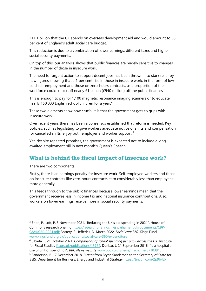£11.1 billion that the UK spends on overseas development aid and would amount to 38 per cent of England's adult social care budget. $3$ 

This reduction is due to a combination of lower earnings, different taxes and higher social security payments.

On top of this, our analysis shows that public finances are hugely sensitive to changes in the number of those in insecure work.

The need for urgent action to support decent jobs has been thrown into stark relief by new figures showing that a 1 per cent rise in those in insecure work, in the form of lowpaid self-employment and those on zero-hours contracts, as a proportion of the workforce could knock off nearly £1 billion (£940 million) off the public finances

This is enough to pay for 1,100 magnetic resonance imaging scanners or to educate nearly 150,000 English school children for a year.<sup>[4](#page-3-1)</sup>

These two elements show how crucial it is that the government gets to grips with insecure work.

Over recent years there has been a consensus established that reform is needed. Key policies, such as legislating to give workers adequate notice of shifts and compensation for cancelled shifts, enjoy both employer and worker support.<sup>[5](#page-3-2)</sup>

Yet, despite repeated promises, the government is expected not to include a longawaited employment bill in next month's Queen's Speech.

### **What is behind the fiscal impact of insecure work?**

There are two components.

Firstly, there is an earnings penalty for insecure work. Self-employed workers and those on insecure contracts like zero-hours contracts earn considerably less than employees more generally.

This feeds through to the public finances because lower earnings mean that the government receives less in income tax and national insurance contributions. Also, workers on lower earnings receive more in social security payments.

<span id="page-3-0"></span><sup>&</sup>lt;sup>3</sup> Brien, P., Loft, P. 5 November 2021. "Reducing the UK's aid spending in 2021", House of Commons research briefing https://researchbriefings.files.parliament.uk/documents/CBP-9224/CBP-9224.pdf; Bottery, S., Jefferies, D. March 2022. *Social care 360*. Kings Fund www.kingsfund.org.uk/publications/social-care-360/expenditure

<span id="page-3-1"></span><sup>4</sup> Sibieta, L. 21 October 2021. *Comparisons of school spending per pupil across the UK.* Institute for Fiscal Studies ifs.org.uk/publications/15764; Dunbar, J. 21 September 2016. "Is a hospital a useful unit of spending?", *BBC News website* www.bbc.co.uk/news/magazine-37383918<br><sup>5</sup> Sanderson, B. 17 December 2018. "Letter from Bryan Sanderson to the Secretary of State for

<span id="page-3-2"></span>BEIS, Department for Business, Energy and Industrial Strategy https://tinyurl.com/2p9b42kf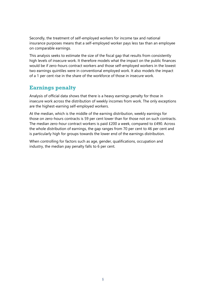Secondly, the treatment of self-employed workers for income tax and national insurance purposes means that a self-employed worker pays less tax than an employee on comparable earnings.

This analysis seeks to estimate the size of the fiscal gap that results from consistently high levels of insecure work. It therefore models what the impact on the public finances would be if zero-hours contract workers and those self-employed workers in the lowest two earnings quintiles were in conventional employed work. It also models the impact of a 1 per cent rise in the share of the workforce of those in insecure work.

## **Earnings penalty**

Analysis of official data shows that there is a heavy earnings penalty for those in insecure work across the distribution of weekly incomes from work. The only exceptions are the highest-earning self-employed workers.

At the median, which is the middle of the earning distribution, weekly earnings for those on zero-hours contracts is 59 per cent lower than for those not on such contracts. The median zero-hour contract workers is paid £200 a week, compared to £490. Across the whole distribution of earnings, the gap ranges from 70 per cent to 46 per cent and is particularly high for groups towards the lower end of the earnings distribution.

When controlling for factors such as age, gender, qualifications, occupation and industry, the median pay penalty falls to 6 per cent.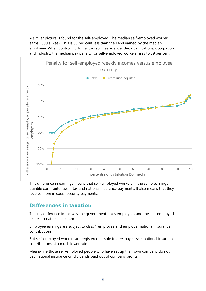A similar picture is found for the self-employed. The median self-employed worker earns £300 a week. This is 35 per cent less than the £460 earned by the median employee. When controlling for factors such as age, gender, qualifications, occupation and industry, the median pay penalty for self-employed workers rises to 39 per cent.



This difference in earnings means that self-employed workers in the same earnings quintile contribute less in tax and national insurance payments. It also means that they receive more in social security payments.

### **Differences in taxation**

The key difference in the way the government taxes employees and the self-employed relates to national insurance.

Employee earnings are subject to class 1 employee and employer national insurance contributions.

But self-employed workers are registered as sole traders pay class 4 national insurance contributions at a much lower rate.

Meanwhile those self-employed people who have set up their own company do not pay national insurance on dividends paid out of company profits.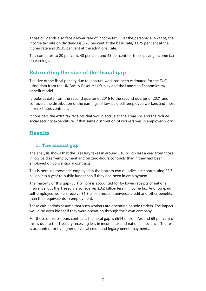Those dividends also face a lower rate of income tax. Over the personal allowance, the income tax rate on dividends is 8.75 per cent at the basic rate, 33.75 per cent at the higher rate and 39.35 per cent at the additional rate.

This compares to 20 per cent, 40 per cent and 45 per cent for those paying income tax on earnings.

## **Estimating the size of the fiscal gap**

The size of the fiscal penalty due to insecure work has been estimated for the TUC using data from the UK Family Resources Survey and the Landman Economics taxbenefit model.

It looks at data from the second quarter of 2016 to the second quarter of 2021 and considers the distribution of the earnings of low-paid self-employed workers and those in zero-hours contracts.

It considers the extra tax receipts that would accrue to the Treasury, and the reduce social security expenditure, if that same distribution of workers was in employed work.

## **Results**

#### **1. The annual gap**

The analysis shows that the Treasury takes in around £10 billion less a year from those in low paid self-employment and on zero-hours contracts than if they had been employed on conventional contracts.

This is because those self-employed in the bottom two quintiles are contributing £9.7 billion less a year to public funds than if they had been in employment.

The majority of this gap  $(E5.1$  billion) is accounted for by lower receipts of national insurance. But the Treasury also receives £3.2 billion less in income tax. And low-paid self-employed workers receive £1.3 billion more in universal credit and other benefits than their equivalents in employment.

These calculations assume that such workers are operating as sole traders. The impact would be even higher if they were operating through their own company.

For those on zero-hours contracts, the fiscal gap is £614 million. Around 69 per cent of this is due to the Treasury receiving less in income tax and national insurance. The rest is accounted for by higher universal credit and legacy benefit payments.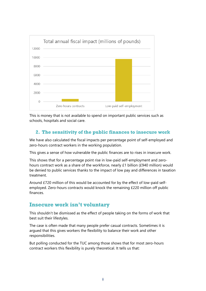

This is money that is not available to spend on important public services such as schools, hospitals and social care.

#### **2. The sensitivity of the public finances to insecure work**

We have also calculated the fiscal impacts per percentage point of self-employed and zero-hours contract workers in the working population.

This gives a sense of how vulnerable the public finances are to rises in insecure work.

This shows that for a percentage point rise in low-paid self-employment and zerohours contract work as a share of the workforce, nearly £1 billion (£940 million) would be denied to public services thanks to the impact of low pay and differences in taxation treatment.

Around £720 million of this would be accounted for by the effect of low-paid selfemployed. Zero-hours contracts would knock the remaining £220 million off public finances.

### **Insecure work isn't voluntary**

This shouldn't be dismissed as the effect of people taking on the forms of work that best suit their lifestyles.

The case is often made that many people prefer casual contracts. Sometimes it is argued that this gives workers the flexibility to balance their work and other responsibilities.

But polling conducted for the TUC among those shows that for most zero-hours contract workers this flexibility is purely theoretical. It tells us that: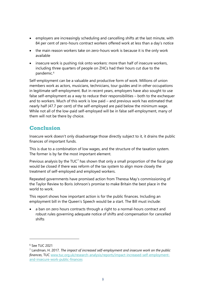- employers are increasingly scheduling and cancelling shifts at the last minute, with 84 per cent of zero-hours contract workers offered work at less than a day's notice
- the main reason workers take on zero-hours work is because it is the only work available
- insecure work is pushing risk onto workers: more than half of insecure workers, including three quarters of people on ZHCs had their hours cut due to the pandemic.<sup>[6](#page-8-0)</sup>

Self-employment can be a valuable and productive form of work. Millions of union members work as actors, musicians, technicians, tour guides and in other occupations in legitimate self-employment. But in recent years, employers have also sought to use false self-employment as a way to reduce their responsibilities – both to the exchequer and to workers. Much of this work is low paid – and previous work has estimated that nearly half (47.7 per cent) of the self-employed are paid below the minimum wage. While not all of the low-paid self-employed will be in false self-employment, many of them will not be there by choice.

## **Conclusion**

Insecure work doesn't only disadvantage those directly subject to it, it drains the public finances of important funds.

This is due to a combination of low wages, and the structure of the taxation system. The former is by far the most important element.

Previous analysis by the  $TUC<sup>7</sup>$  $TUC<sup>7</sup>$  $TUC<sup>7</sup>$  has shown that only a small proportion of the fiscal gap would be closed if there was reform of the tax system to align more closely the treatment of self-employed and employed workers.

Repeated governments have promised action from Theresa May's commissioning of the Taylor Review to Boris Johnson's promise to make Britain the best place in the world to work.

This report shows how important action is for the public finances. Including an employment bill in the Queen's Speech would be a start. The Bill must include:

a ban on zero hours contracts through a right to a normal-hours contract and robust rules governing adequate notice of shifts and compensation for cancelled shifts

<span id="page-8-0"></span><sup>6</sup> See TUC 2021

<span id="page-8-1"></span><sup>7</sup> Landman, H. 2017*. The impact of increased self-employment and insecure work on the public finances*, TUC www.tuc.org.uk/research-analysis/reports/impact-increased-self-employmentand-insecure-work-public-finances